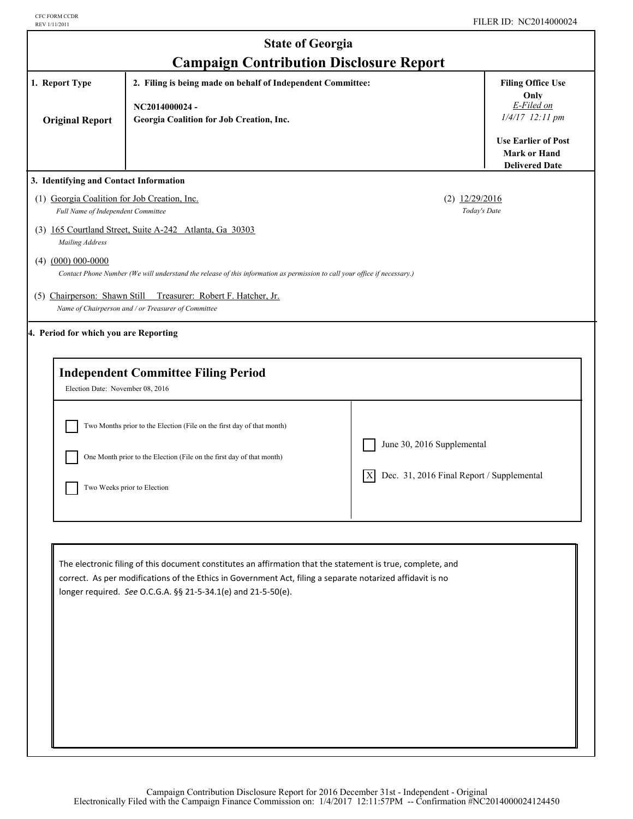I

| <b>State of Georgia</b><br><b>Campaign Contribution Disclosure Report</b>                                                                                                                                                                                                 |                                                                                                                                                                                                                                                                                            |                                                                               |                                                                                                                        |  |
|---------------------------------------------------------------------------------------------------------------------------------------------------------------------------------------------------------------------------------------------------------------------------|--------------------------------------------------------------------------------------------------------------------------------------------------------------------------------------------------------------------------------------------------------------------------------------------|-------------------------------------------------------------------------------|------------------------------------------------------------------------------------------------------------------------|--|
| 1. Report Type<br><b>Original Report</b>                                                                                                                                                                                                                                  | 2. Filing is being made on behalf of Independent Committee:<br>NC2014000024-<br>Georgia Coalition for Job Creation, Inc.                                                                                                                                                                   |                                                                               | <b>Filing Office Use</b><br>Only<br>E-Filed on<br>1/4/17 12:11 pm<br><b>Use Earlier of Post</b><br><b>Mark or Hand</b> |  |
| <b>Delivered Date</b><br>3. Identifying and Contact Information<br>(1) Georgia Coalition for Job Creation, Inc.<br>$(2)$ $12/29/2016$<br>Today's Date<br>Full Name of Independent Committee<br>(3) 165 Courtland Street, Suite A-242 Atlanta, Ga 30303<br>Mailing Address |                                                                                                                                                                                                                                                                                            |                                                                               |                                                                                                                        |  |
| $(4)$ $(000)$ 000-0000                                                                                                                                                                                                                                                    | Contact Phone Number (We will understand the release of this information as permission to call your office if necessary.)<br>(5) Chairperson: Shawn Still Treasurer: Robert F. Hatcher, Jr.<br>Name of Chairperson and / or Treasurer of Committee                                         |                                                                               |                                                                                                                        |  |
| 4. Period for which you are Reporting<br>Election Date: November 08, 2016                                                                                                                                                                                                 | <b>Independent Committee Filing Period</b><br>Two Months prior to the Election (File on the first day of that month)<br>One Month prior to the Election (File on the first day of that month)<br>Two Weeks prior to Election                                                               | June 30, 2016 Supplemental<br>Dec. 31, 2016 Final Report / Supplemental<br> X |                                                                                                                        |  |
|                                                                                                                                                                                                                                                                           | The electronic filing of this document constitutes an affirmation that the statement is true, complete, and<br>correct. As per modifications of the Ethics in Government Act, filing a separate notarized affidavit is no<br>longer required. See O.C.G.A. §§ 21-5-34.1(e) and 21-5-50(e). |                                                                               |                                                                                                                        |  |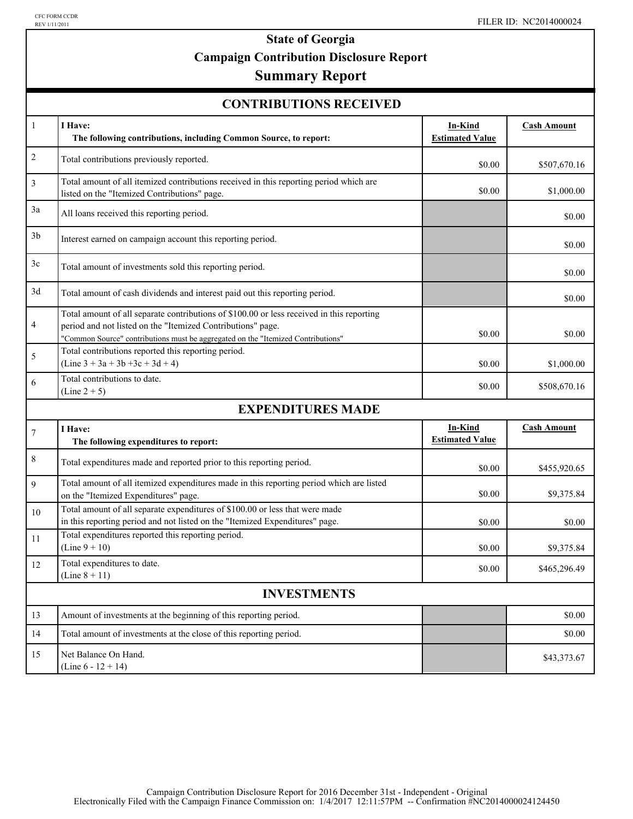# **State of Georgia Campaign Contribution Disclosure Report**

### **Summary Report**

| <b>CONTRIBUTIONS RECEIVED</b> |  |
|-------------------------------|--|
|-------------------------------|--|

| $\mathbf{1}$       | I Have:<br>The following contributions, including Common Source, to report:                                                                                                                                                                  | In-Kind<br><b>Estimated Value</b> | <b>Cash Amount</b> |  |  |
|--------------------|----------------------------------------------------------------------------------------------------------------------------------------------------------------------------------------------------------------------------------------------|-----------------------------------|--------------------|--|--|
| $\overline{c}$     | Total contributions previously reported.                                                                                                                                                                                                     | \$0.00                            | \$507,670.16       |  |  |
| 3                  | Total amount of all itemized contributions received in this reporting period which are<br>listed on the "Itemized Contributions" page.                                                                                                       | \$0.00                            | \$1,000.00         |  |  |
| 3a                 | All loans received this reporting period.                                                                                                                                                                                                    |                                   | \$0.00             |  |  |
| 3 <sub>b</sub>     | Interest earned on campaign account this reporting period.                                                                                                                                                                                   |                                   | \$0.00             |  |  |
| 3c                 | Total amount of investments sold this reporting period.                                                                                                                                                                                      |                                   | \$0.00             |  |  |
| 3d                 | Total amount of cash dividends and interest paid out this reporting period.                                                                                                                                                                  |                                   | \$0.00             |  |  |
| 4                  | Total amount of all separate contributions of \$100.00 or less received in this reporting<br>period and not listed on the "Itemized Contributions" page.<br>"Common Source" contributions must be aggregated on the "Itemized Contributions" | \$0.00                            | \$0.00             |  |  |
| 5                  | Total contributions reported this reporting period.<br>$(Line 3 + 3a + 3b + 3c + 3d + 4)$                                                                                                                                                    | \$0.00                            | \$1,000.00         |  |  |
| 6                  | Total contributions to date.<br>$(Line 2 + 5)$                                                                                                                                                                                               | \$0.00                            | \$508,670.16       |  |  |
|                    | <b>EXPENDITURES MADE</b>                                                                                                                                                                                                                     |                                   |                    |  |  |
| $\boldsymbol{7}$   | I Have:<br>The following expenditures to report:                                                                                                                                                                                             | In-Kind<br><b>Estimated Value</b> | <b>Cash Amount</b> |  |  |
| $\,$ $\,$          | Total expenditures made and reported prior to this reporting period.                                                                                                                                                                         | \$0.00                            | \$455,920.65       |  |  |
| 9                  | Total amount of all itemized expenditures made in this reporting period which are listed<br>on the "Itemized Expenditures" page.                                                                                                             | \$0.00                            | \$9,375.84         |  |  |
| 10                 | Total amount of all separate expenditures of \$100.00 or less that were made<br>in this reporting period and not listed on the "Itemized Expenditures" page.                                                                                 | \$0.00                            | \$0.00             |  |  |
| 11                 | Total expenditures reported this reporting period.<br>$(Line 9 + 10)$                                                                                                                                                                        | \$0.00                            | \$9,375.84         |  |  |
| 12                 | Total expenditures to date.<br>$(Line 8 + 11)$                                                                                                                                                                                               | \$0.00                            | \$465,296.49       |  |  |
| <b>INVESTMENTS</b> |                                                                                                                                                                                                                                              |                                   |                    |  |  |
| 13                 | Amount of investments at the beginning of this reporting period.                                                                                                                                                                             |                                   | \$0.00             |  |  |
| 14                 | Total amount of investments at the close of this reporting period.                                                                                                                                                                           |                                   | \$0.00             |  |  |
| 15                 | Net Balance On Hand.<br>(Line $6 - 12 + 14$ )                                                                                                                                                                                                |                                   | \$43,373.67        |  |  |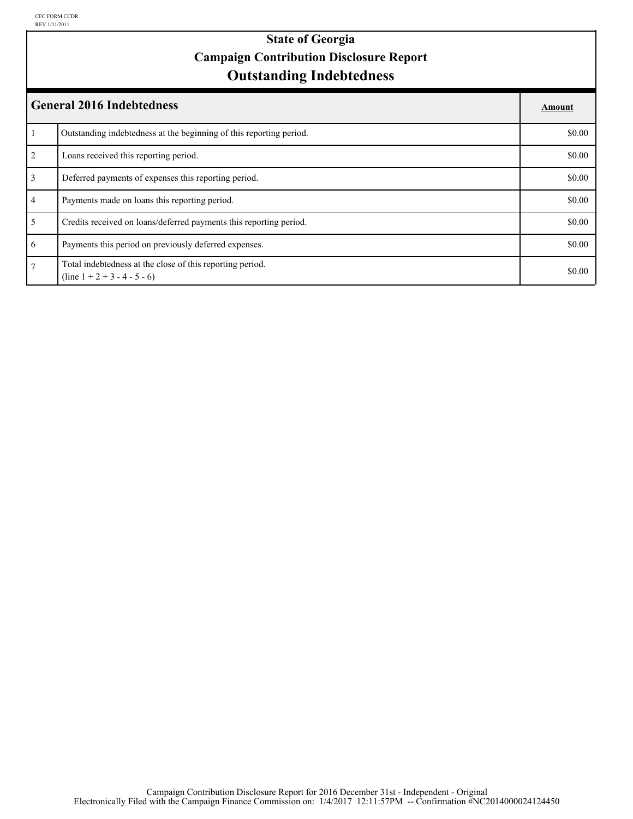### **Outstanding Indebtedness State of Georgia Campaign Contribution Disclosure Report**

| <b>General 2016 Indebtedness</b> |                                                                                             |        |
|----------------------------------|---------------------------------------------------------------------------------------------|--------|
|                                  | Outstanding indebtedness at the beginning of this reporting period.                         | \$0.00 |
| 2                                | Loans received this reporting period.                                                       | \$0.00 |
| $\overline{3}$                   | Deferred payments of expenses this reporting period.                                        | \$0.00 |
| $\overline{4}$                   | Payments made on loans this reporting period.                                               | \$0.00 |
| 5 <sup>5</sup>                   | Credits received on loans/deferred payments this reporting period.                          | \$0.00 |
| 6                                | Payments this period on previously deferred expenses.                                       | \$0.00 |
| $\overline{7}$                   | Total indebtedness at the close of this reporting period.<br>$(line 1 + 2 + 3 - 4 - 5 - 6)$ | \$0.00 |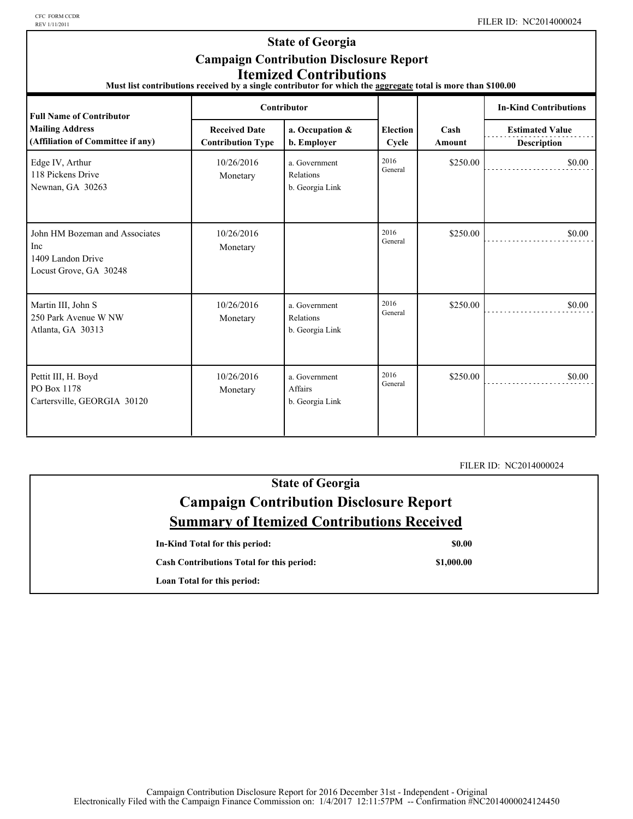CFC FORM CCDR<br>REV 1/11/2011

### **State of Georgia Campaign Contribution Disclosure Report Itemized Contributions**

**Must list contributions received by a single contributor for which the aggregate total is more than \$100.00** 

| <b>Full Name of Contributor</b>                                                      |                                                  | Contributor                                   |                          |                       | <b>In-Kind Contributions</b>                 |
|--------------------------------------------------------------------------------------|--------------------------------------------------|-----------------------------------------------|--------------------------|-----------------------|----------------------------------------------|
| <b>Mailing Address</b><br>(Affiliation of Committee if any)                          | <b>Received Date</b><br><b>Contribution Type</b> | a. Occupation &<br>b. Employer                | <b>Election</b><br>Cycle | Cash<br><b>Amount</b> | <b>Estimated Value</b><br><b>Description</b> |
| Edge IV, Arthur<br>118 Pickens Drive<br>Newnan, GA 30263                             | 10/26/2016<br>Monetary                           | a. Government<br>Relations<br>b. Georgia Link | 2016<br>General          | \$250.00              | \$0.00                                       |
| John HM Bozeman and Associates<br>Inc<br>1409 Landon Drive<br>Locust Grove, GA 30248 | 10/26/2016<br>Monetary                           |                                               | 2016<br>General          | \$250.00              | \$0.00                                       |
| Martin III, John S<br>250 Park Avenue W NW<br>Atlanta, GA 30313                      | 10/26/2016<br>Monetary                           | a. Government<br>Relations<br>b. Georgia Link | 2016<br>General          | \$250.00              | \$0.00                                       |
| Pettit III, H. Boyd<br>PO Box 1178<br>Cartersville, GEORGIA 30120                    | 10/26/2016<br>Monetary                           | a. Government<br>Affairs<br>b. Georgia Link   | 2016<br>General          | \$250.00              | \$0.00                                       |

FILER ID: NC2014000024

| <b>State of Georgia</b>                           |  |  |
|---------------------------------------------------|--|--|
| <b>Campaign Contribution Disclosure Report</b>    |  |  |
| <b>Summary of Itemized Contributions Received</b> |  |  |

| In-Kind Total for this period:                   | \$0.00     |
|--------------------------------------------------|------------|
| <b>Cash Contributions Total for this period:</b> | \$1,000.00 |
| Loan Total for this period:                      |            |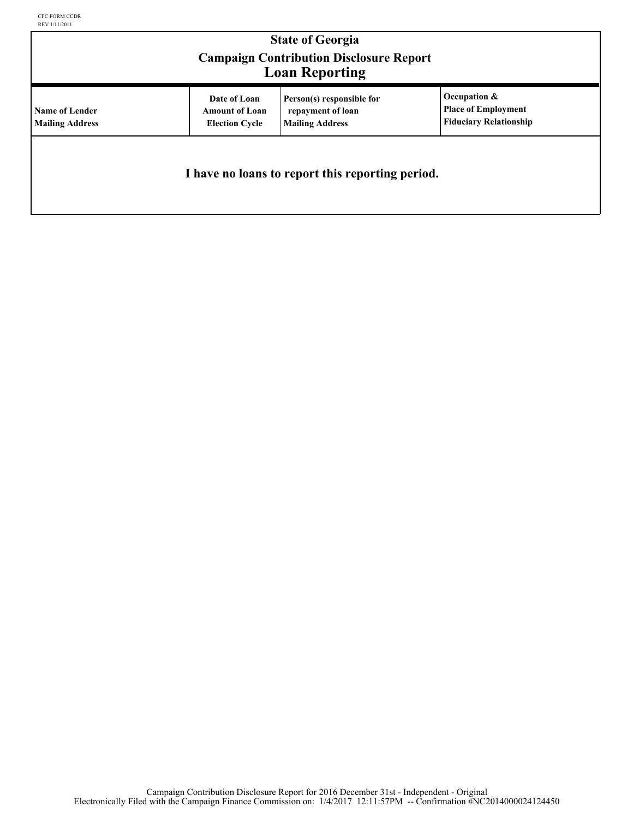| <b>State of Georgia</b><br><b>Campaign Contribution Disclosure Report</b><br><b>Loan Reporting</b> |                                                                |                                                                          |                                                                             |  |
|----------------------------------------------------------------------------------------------------|----------------------------------------------------------------|--------------------------------------------------------------------------|-----------------------------------------------------------------------------|--|
| <b>Name of Lender</b><br><b>Mailing Address</b>                                                    | Date of Loan<br><b>Amount of Loan</b><br><b>Election Cycle</b> | Person(s) responsible for<br>repayment of loan<br><b>Mailing Address</b> | Occupation &<br><b>Place of Employment</b><br><b>Fiduciary Relationship</b> |  |
| I have no loans to report this reporting period.                                                   |                                                                |                                                                          |                                                                             |  |